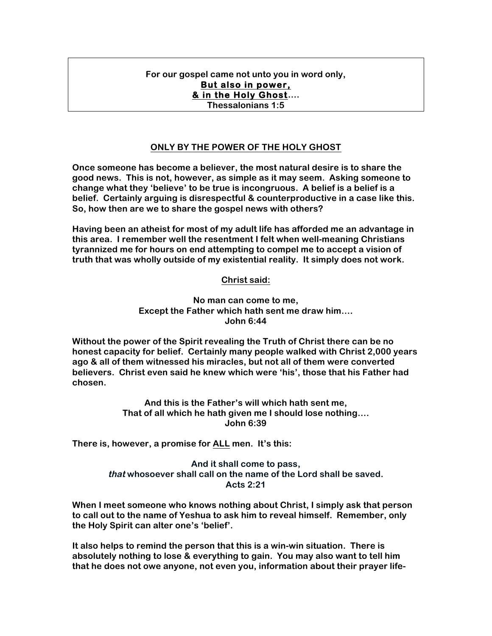## **For our gospel came not unto you in word only, But also in power, & in the Holy Ghost…. Thessalonians 1:5**

## **ONLY BY THE POWER OF THE HOLY GHOST**

**Once someone has become a believer, the most natural desire is to share the good news. This is not, however, as simple as it may seem. Asking someone to change what they 'believe' to be true is incongruous. A belief is a belief is a belief. Certainly arguing is disrespectful & counterproductive in a case like this. So, how then are we to share the gospel news with others?**

**Having been an atheist for most of my adult life has afforded me an advantage in this area. I remember well the resentment I felt when well-meaning Christians tyrannized me for hours on end attempting to compel me to accept a vision of truth that was wholly outside of my existential reality. It simply does not work.**

## **Christ said:**

**No man can come to me, Except the Father which hath sent me draw him…. John 6:44**

**Without the power of the Spirit revealing the Truth of Christ there can be no honest capacity for belief. Certainly many people walked with Christ 2,000 years ago & all of them witnessed his miracles, but not all of them were converted believers. Christ even said he knew which were 'his', those that his Father had chosen.** 

> **And this is the Father's will which hath sent me, That of all which he hath given me I should lose nothing…. John 6:39**

**There is, however, a promise for ALL men. It's this:**

**And it shall come to pass, that whosoever shall call on the name of the Lord shall be saved. Acts 2:21**

**When I meet someone who knows nothing about Christ, I simply ask that person to call out to the name of Yeshua to ask him to reveal himself. Remember, only the Holy Spirit can alter one's 'belief'.** 

**It also helps to remind the person that this is a win-win situation. There is absolutely nothing to lose & everything to gain. You may also want to tell him that he does not owe anyone, not even you, information about their prayer life-**